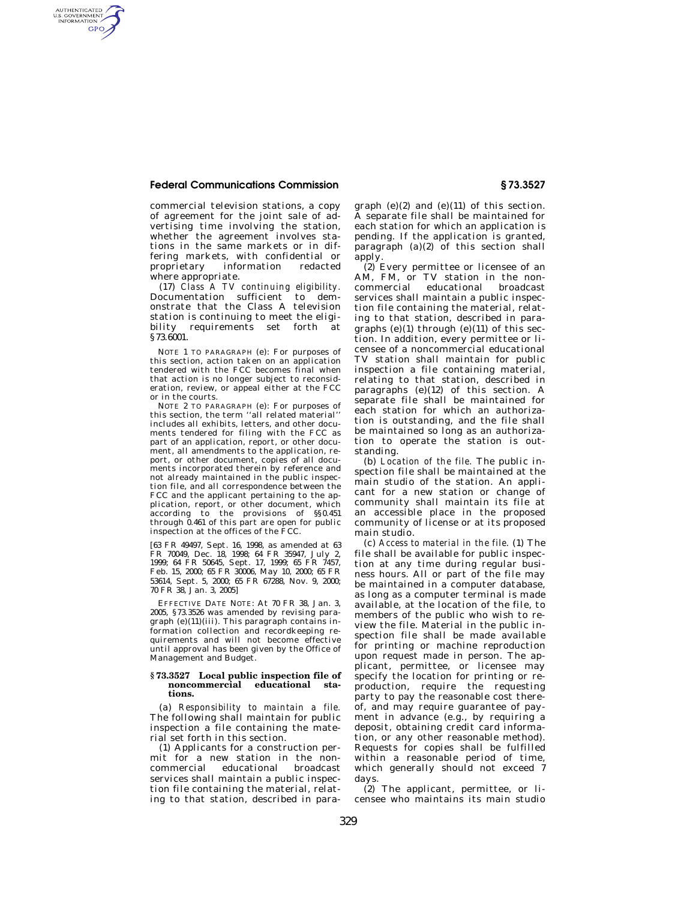## **Federal Communications Commission § 73.3527**

AUTHENTICATED<br>U.S. GOVERNMENT<br>INFORMATION GPO

> commercial television stations, a copy of agreement for the joint sale of advertising time involving the station, whether the agreement involves stations in the same markets or in differing markets, with confidential or proprietary information redacted where appropriate.

> (17) *Class A TV continuing eligibility.*  Documentation sufficient to demonstrate that the Class A television station is continuing to meet the eligibility requirements set forth at §73.6001.

> NOTE 1 TO PARAGRAPH (e): For purposes of this section, action taken on an application tendered with the FCC becomes final when that action is no longer subject to reconsideration, review, or appeal either at the FCC or in the courts.

> NOTE 2 TO PARAGRAPH (e): For purposes of this section, the term ''all related material'' includes all exhibits, letters, and other documents tendered for filing with the FCC as part of an application, report, or other document, all amendments to the application, report, or other document, copies of all documents incorporated therein by reference and not already maintained in the public inspection file, and all correspondence between the FCC and the applicant pertaining to the application, report, or other document, which according to the provisions of §§0.451 through 0.461 of this part are open for public inspection at the offices of the FCC.

> [63 FR 49497, Sept. 16, 1998, as amended at 63 FR 70049, Dec. 18, 1998; 64 FR 35947, July 2, 1999; 64 FR 50645, Sept. 17, 1999; 65 FR 7457, Feb. 15, 2000; 65 FR 30006, May 10, 2000; 65 FR 53614, Sept. 5, 2000; 65 FR 67288, Nov. 9, 2000; 70 FR 38, Jan. 3, 2005]

> EFFECTIVE DATE NOTE: At 70 FR 38, Jan. 3, 2005, §73.3526 was amended by revising paragraph (e)(11)(iii). This paragraph contains information collection and recordkeeping requirements and will not become effective until approval has been given by the Office of Management and Budget.

#### **§ 73.3527 Local public inspection file of noncommercial educational stations.**

(a) *Responsibility to maintain a file.*  The following shall maintain for public inspection a file containing the material set forth in this section.

(1) Applicants for a construction permit for a new station in the non-<br>commercial educational broadcast educational services shall maintain a public inspection file containing the material, relating to that station, described in para-

graph  $(e)(2)$  and  $(e)(11)$  of this section. A separate file shall be maintained for each station for which an application is pending. If the application is granted, paragraph  $(a)(2)$  of this section shall apply.

(2) Every permittee or licensee of an AM, FM, or TV station in the noncommercial educational broadcast services shall maintain a public inspection file containing the material, relating to that station, described in paragraphs  $(e)(1)$  through  $(e)(11)$  of this section. In addition, every permittee or licensee of a noncommercial educational TV station shall maintain for public inspection a file containing material, relating to that station, described in paragraphs (e)(12) of this section. A separate file shall be maintained for each station for which an authorization is outstanding, and the file shall be maintained so long as an authorization to operate the station is outstanding.

(b) *Location of the file.* The public inspection file shall be maintained at the main studio of the station. An applicant for a new station or change of community shall maintain its file at an accessible place in the proposed community of license or at its proposed main studio.

(c) *Access to material in the file.* (1) The file shall be available for public inspection at any time during regular business hours. All or part of the file may be maintained in a computer database, as long as a computer terminal is made available, at the location of the file, to members of the public who wish to review the file. Material in the public inspection file shall be made available for printing or machine reproduction upon request made in person. The applicant, permittee, or licensee may specify the location for printing or reproduction, require the requesting party to pay the reasonable cost thereof, and may require guarantee of payment in advance (e.g., by requiring a deposit, obtaining credit card information, or any other reasonable method). Requests for copies shall be fulfilled within a reasonable period of time, which generally should not exceed 7 days.

(2) The applicant, permittee, or licensee who maintains its main studio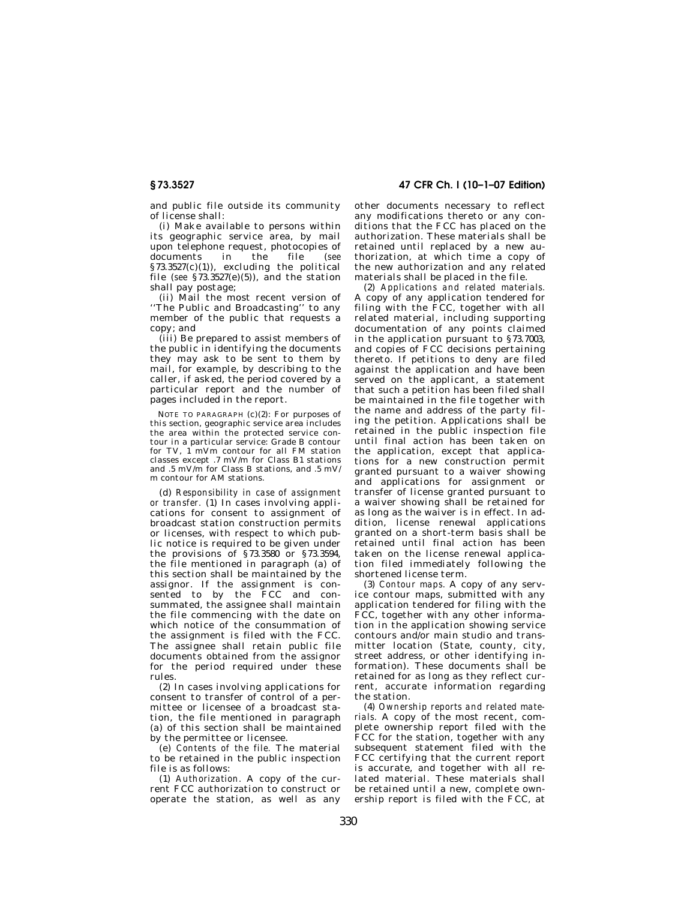**§ 73.3527 47 CFR Ch. I (10–1–07 Edition)** 

and public file outside its community of license shall:

(i) Make available to persons within its geographic service area, by mail upon telephone request, photocopies of documents in the file (*see*   $§73.3527(c)(1))$ , excluding the political file (*see* §73.3527(e)(5)), and the station shall pay postage;

(ii) Mail the most recent version of ''The Public and Broadcasting'' to any member of the public that requests a copy; and

(iii) Be prepared to assist members of the public in identifying the documents they may ask to be sent to them by mail, for example, by describing to the caller, if asked, the period covered by a particular report and the number of pages included in the report.

NOTE TO PARAGRAPH (c)(2): For purposes of this section, geographic service area includes the area within the protected service contour in a particular service: Grade B contour for TV, 1 mVm contour for all FM station classes except .7 mV/m for Class B1 stations and .5 mV/m for Class B stations, and .5 mV/ m contour for AM stations.

(d) *Responsibility in case of assignment or transfer.* (1) In cases involving applications for consent to assignment of broadcast station construction permits or licenses, with respect to which public notice is required to be given under the provisions of §73.3580 or §73.3594, the file mentioned in paragraph (a) of this section shall be maintained by the assignor. If the assignment is consented to by the FCC and consummated, the assignee shall maintain the file commencing with the date on which notice of the consummation of the assignment is filed with the FCC. The assignee shall retain public file documents obtained from the assignor for the period required under these rules.

(2) In cases involving applications for consent to transfer of control of a permittee or licensee of a broadcast station, the file mentioned in paragraph (a) of this section shall be maintained by the permittee or licensee.

(e) *Contents of the file.* The material to be retained in the public inspection file is as follows:

(1) *Authorization.* A copy of the current FCC authorization to construct or operate the station, as well as any other documents necessary to reflect any modifications thereto or any conditions that the FCC has placed on the authorization. These materials shall be retained until replaced by a new authorization, at which time a copy of the new authorization and any related materials shall be placed in the file.

(2) *Applications and related materials.*  A copy of any application tendered for filing with the FCC, together with all related material, including supporting documentation of any points claimed in the application pursuant to §73.7003, and copies of FCC decisions pertaining thereto. If petitions to deny are filed against the application and have been served on the applicant, a statement that such a petition has been filed shall be maintained in the file together with the name and address of the party filing the petition. Applications shall be retained in the public inspection file until final action has been taken on the application, except that applications for a new construction permit granted pursuant to a waiver showing and applications for assignment or transfer of license granted pursuant to a waiver showing shall be retained for as long as the waiver is in effect. In addition, license renewal applications granted on a short-term basis shall be retained until final action has been taken on the license renewal application filed immediately following the shortened license term.

(3) *Contour maps.* A copy of any service contour maps, submitted with any application tendered for filing with the FCC, together with any other information in the application showing service contours and/or main studio and transmitter location (State, county, city, street address, or other identifying information). These documents shall be retained for as long as they reflect current, accurate information regarding the station.

(4) *Ownership reports and related materials.* A copy of the most recent, complete ownership report filed with the FCC for the station, together with any subsequent statement filed with the FCC certifying that the current report is accurate, and together with all related material. These materials shall be retained until a new, complete ownership report is filed with the FCC, at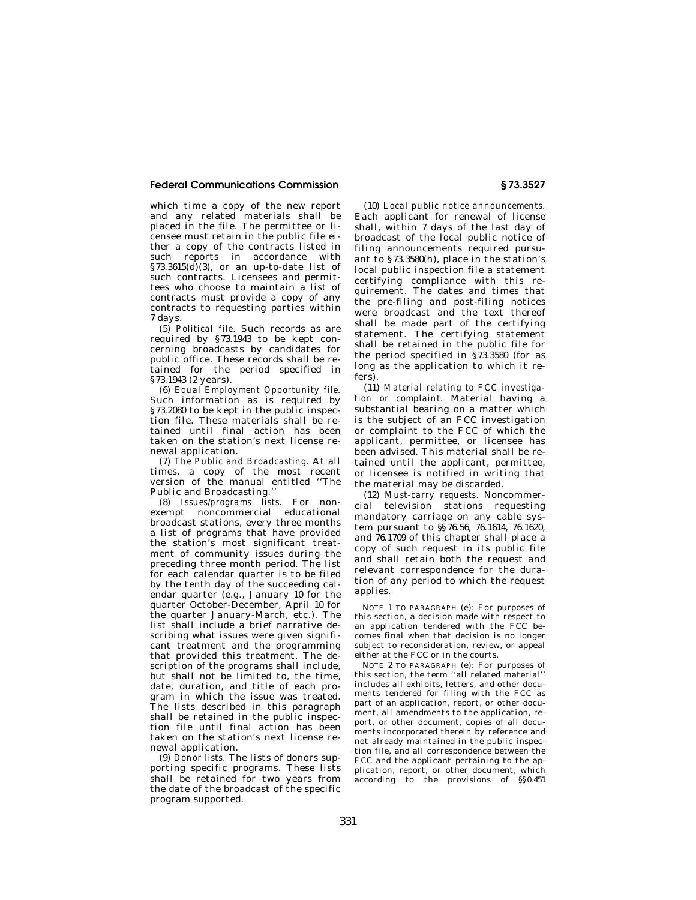# **Federal Communications Commission § 73.3527**

which time a copy of the new report and any related materials shall be placed in the file. The permittee or licensee must retain in the public file either a copy of the contracts listed in such reports in accordance with §73.3615 $(d)(3)$ , or an up-to-date list of such contracts. Licensees and permittees who choose to maintain a list of contracts must provide a copy of any contracts to requesting parties within 7 days.

(5) *Political file.* Such records as are required by §73.1943 to be kept concerning broadcasts by candidates for public office. These records shall be retained for the period specified in §73.1943 (2 years).

(6) *Equal Employment Opportunity file.*  Such information as is required by §73.2080 to be kept in the public inspection file. These materials shall be retained until final action has been taken on the station's next license renewal application.

(7) *The Public and Broadcasting.* At all times, a copy of the most recent version of the manual entitled ''The Public and Broadcasting.''

(8) *Issues/programs lists.* For nonexempt noncommercial educational broadcast stations, every three months a list of programs that have provided the station's most significant treatment of community issues during the preceding three month period. The list for each calendar quarter is to be filed by the tenth day of the succeeding calendar quarter (e.g., January 10 for the quarter October-December, April 10 for the quarter January-March, etc.). The list shall include a brief narrative describing what issues were given significant treatment and the programming that provided this treatment. The description of the programs shall include, but shall not be limited to, the time, date, duration, and title of each program in which the issue was treated. The lists described in this paragraph shall be retained in the public inspection file until final action has been taken on the station's next license renewal application.

(9) *Donor lists.* The lists of donors supporting specific programs. These lists shall be retained for two years from the date of the broadcast of the specific program supported.

(10) *Local public notice announcements.*  Each applicant for renewal of license shall, within 7 days of the last day of broadcast of the local public notice of filing announcements required pursuant to §73.3580(h), place in the station's local public inspection file a statement certifying compliance with this requirement. The dates and times that the pre-filing and post-filing notices were broadcast and the text thereof shall be made part of the certifying statement. The certifying statement shall be retained in the public file for the period specified in §73.3580 (for as long as the application to which it refers).

(11) *Material relating to FCC investigation or complaint.* Material having a substantial bearing on a matter which is the subject of an FCC investigation or complaint to the FCC of which the applicant, permittee, or licensee has been advised. This material shall be retained until the applicant, permittee, or licensee is notified in writing that the material may be discarded.

(12) *Must-carry requests.* Noncommercial television stations requesting mandatory carriage on any cable system pursuant to §§76.56, 76.1614, 76.1620, and 76.1709 of this chapter shall place a copy of such request in its public file and shall retain both the request and relevant correspondence for the duration of any period to which the request applies.

NOTE 1 TO PARAGRAPH (e): For purposes of this section, a decision made with respect to an application tendered with the FCC becomes final when that decision is no longer subject to reconsideration, review, or appeal either at the FCC or in the courts.

NOTE 2 TO PARAGRAPH (e): For purposes of this section, the term ''all related material'' includes all exhibits, letters, and other documents tendered for filing with the FCC as part of an application, report, or other document, all amendments to the application, report, or other document, copies of all documents incorporated therein by reference and not already maintained in the public inspection file, and all correspondence between the FCC and the applicant pertaining to the application, report, or other document, which according to the provisions of §§0.451